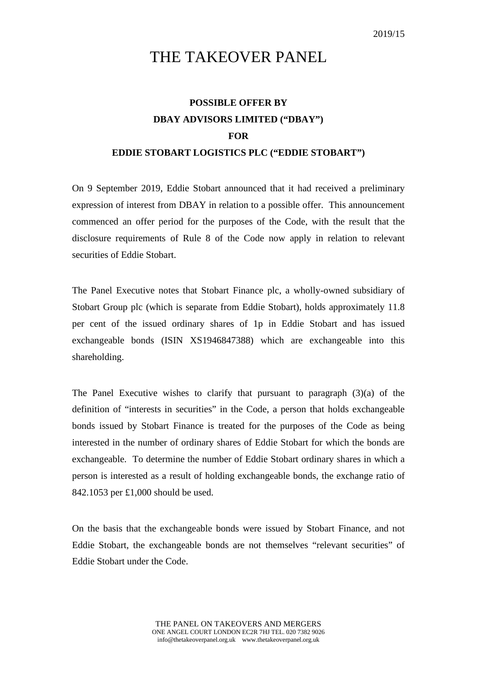## THE TAKEOVER PANEL

## **POSSIBLE OFFER BY DBAY ADVISORS LIMITED ("DBAY") FOR EDDIE STOBART LOGISTICS PLC ("EDDIE STOBART")**

On 9 September 2019, Eddie Stobart announced that it had received a preliminary expression of interest from DBAY in relation to a possible offer. This announcement commenced an offer period for the purposes of the Code, with the result that the disclosure requirements of Rule 8 of the Code now apply in relation to relevant securities of Eddie Stobart.

The Panel Executive notes that Stobart Finance plc, a wholly-owned subsidiary of Stobart Group plc (which is separate from Eddie Stobart), holds approximately 11.8 per cent of the issued ordinary shares of 1p in Eddie Stobart and has issued exchangeable bonds (ISIN XS1946847388) which are exchangeable into this shareholding.

The Panel Executive wishes to clarify that pursuant to paragraph  $(3)(a)$  of the definition of "interests in securities" in the Code, a person that holds exchangeable bonds issued by Stobart Finance is treated for the purposes of the Code as being interested in the number of ordinary shares of Eddie Stobart for which the bonds are exchangeable. To determine the number of Eddie Stobart ordinary shares in which a person is interested as a result of holding exchangeable bonds, the exchange ratio of 842.1053 per £1,000 should be used.

On the basis that the exchangeable bonds were issued by Stobart Finance, and not Eddie Stobart, the exchangeable bonds are not themselves "relevant securities" of Eddie Stobart under the Code.